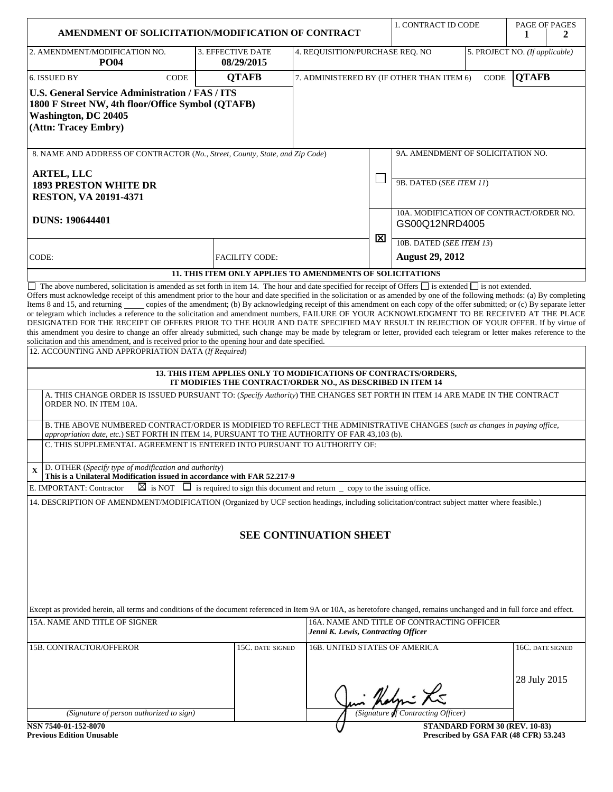| AMENDMENT OF SOLICITATION/MODIFICATION OF CONTRACT                                                                                                                                                                                                                                                                                                                                                                                                                  |                                                                                                                                 |                                                                          |              | 1. CONTRACT ID CODE                                       |  | PAGE OF PAGES<br>1<br>2                                                |
|---------------------------------------------------------------------------------------------------------------------------------------------------------------------------------------------------------------------------------------------------------------------------------------------------------------------------------------------------------------------------------------------------------------------------------------------------------------------|---------------------------------------------------------------------------------------------------------------------------------|--------------------------------------------------------------------------|--------------|-----------------------------------------------------------|--|------------------------------------------------------------------------|
| 2. AMENDMENT/MODIFICATION NO.                                                                                                                                                                                                                                                                                                                                                                                                                                       | 3. EFFECTIVE DATE                                                                                                               | 4. REQUISITION/PURCHASE REQ. NO                                          |              |                                                           |  | 5. PROJECT NO. (If applicable)                                         |
| <b>PO04</b><br>CODE<br>6. ISSUED BY                                                                                                                                                                                                                                                                                                                                                                                                                                 | 08/29/2015<br><b>QTAFB</b>                                                                                                      | <b>QTAFB</b><br>7. ADMINISTERED BY (IF OTHER THAN ITEM 6)<br><b>CODE</b> |              |                                                           |  |                                                                        |
| <b>U.S. General Service Administration / FAS / ITS</b><br>1800 F Street NW, 4th floor/Office Symbol (QTAFB)<br><b>Washington, DC 20405</b><br>(Attn: Tracey Embry)                                                                                                                                                                                                                                                                                                  |                                                                                                                                 |                                                                          |              |                                                           |  |                                                                        |
| 8. NAME AND ADDRESS OF CONTRACTOR (No., Street, County, State, and Zip Code)                                                                                                                                                                                                                                                                                                                                                                                        |                                                                                                                                 |                                                                          |              | 9A. AMENDMENT OF SOLICITATION NO.                         |  |                                                                        |
| <b>ARTEL, LLC</b><br><b>1893 PRESTON WHITE DR</b><br><b>RESTON, VA 20191-4371</b>                                                                                                                                                                                                                                                                                                                                                                                   |                                                                                                                                 |                                                                          | $\mathbb{R}$ | 9B. DATED (SEE ITEM 11)                                   |  |                                                                        |
| <b>DUNS: 190644401</b>                                                                                                                                                                                                                                                                                                                                                                                                                                              |                                                                                                                                 |                                                                          |              | 10A. MODIFICATION OF CONTRACT/ORDER NO.<br>GS00Q12NRD4005 |  |                                                                        |
|                                                                                                                                                                                                                                                                                                                                                                                                                                                                     |                                                                                                                                 |                                                                          | ⊠            | 10B. DATED (SEE ITEM 13)                                  |  |                                                                        |
| CODE:                                                                                                                                                                                                                                                                                                                                                                                                                                                               | <b>FACILITY CODE:</b>                                                                                                           |                                                                          |              | <b>August 29, 2012</b>                                    |  |                                                                        |
| $\Box$ The above numbered, solicitation is amended as set forth in item 14. The hour and date specified for receipt of Offers $\Box$ is extended $\Box$ is not extended.                                                                                                                                                                                                                                                                                            | 11. THIS ITEM ONLY APPLIES TO AMENDMENTS OF SOLICITATIONS                                                                       |                                                                          |              |                                                           |  |                                                                        |
| DESIGNATED FOR THE RECEIPT OF OFFERS PRIOR TO THE HOUR AND DATE SPECIFIED MAY RESULT IN REJECTION OF YOUR OFFER. If by virtue of<br>this amendment you desire to change an offer already submitted, such change may be made by telegram or letter, provided each telegram or letter makes reference to the<br>solicitation and this amendment, and is received prior to the opening hour and date specified.<br>12. ACCOUNTING AND APPROPRIATION DATA (If Required) | 13. THIS ITEM APPLIES ONLY TO MODIFICATIONS OF CONTRACTS/ORDERS,<br>IT MODIFIES THE CONTRACT/ORDER NO., AS DESCRIBED IN ITEM 14 |                                                                          |              |                                                           |  |                                                                        |
| A. THIS CHANGE ORDER IS ISSUED PURSUANT TO: (Specify Authority) THE CHANGES SET FORTH IN ITEM 14 ARE MADE IN THE CONTRACT<br>ORDER NO. IN ITEM 10A.<br>B. THE ABOVE NUMBERED CONTRACT/ORDER IS MODIFIED TO REFLECT THE ADMINISTRATIVE CHANGES (such as changes in paying office,                                                                                                                                                                                    |                                                                                                                                 |                                                                          |              |                                                           |  |                                                                        |
| appropriation date, etc.) SET FORTH IN ITEM 14, PURSUANT TO THE AUTHORITY OF FAR 43,103 (b).<br>C. THIS SUPPLEMENTAL AGREEMENT IS ENTERED INTO PURSUANT TO AUTHORITY OF:                                                                                                                                                                                                                                                                                            |                                                                                                                                 |                                                                          |              |                                                           |  |                                                                        |
| D. OTHER (Specify type of modification and authority)<br>$\mathbf X$<br>This is a Unilateral Modification issued in accordance with FAR 52.217-9<br>E. IMPORTANT: Contractor                                                                                                                                                                                                                                                                                        | $\boxtimes$ is NOT $\Box$ is required to sign this document and return $\Box$ copy to the issuing office.                       |                                                                          |              |                                                           |  |                                                                        |
| 14. DESCRIPTION OF AMENDMENT/MODIFICATION (Organized by UCF section headings, including solicitation/contract subject matter where feasible.)                                                                                                                                                                                                                                                                                                                       |                                                                                                                                 |                                                                          |              |                                                           |  |                                                                        |
|                                                                                                                                                                                                                                                                                                                                                                                                                                                                     |                                                                                                                                 | <b>SEE CONTINUATION SHEET</b>                                            |              |                                                           |  |                                                                        |
| Except as provided herein, all terms and conditions of the document referenced in Item 9A or 10A, as heretofore changed, remains unchanged and in full force and effect.                                                                                                                                                                                                                                                                                            |                                                                                                                                 |                                                                          |              |                                                           |  |                                                                        |
| 15A. NAME AND TITLE OF SIGNER                                                                                                                                                                                                                                                                                                                                                                                                                                       |                                                                                                                                 | Jenni K. Lewis, Contracting Officer                                      |              | 16A. NAME AND TITLE OF CONTRACTING OFFICER                |  |                                                                        |
| 15B. CONTRACTOR/OFFEROR                                                                                                                                                                                                                                                                                                                                                                                                                                             | 15C. DATE SIGNED                                                                                                                | 16B. UNITED STATES OF AMERICA                                            |              |                                                           |  | 16C. DATE SIGNED                                                       |
|                                                                                                                                                                                                                                                                                                                                                                                                                                                                     |                                                                                                                                 |                                                                          |              | in Holmi Li                                               |  | 28 July 2015                                                           |
| (Signature of person authorized to sign)                                                                                                                                                                                                                                                                                                                                                                                                                            |                                                                                                                                 |                                                                          |              | (Signature of Contracting Officer)                        |  |                                                                        |
| NSN 7540-01-152-8070<br><b>Previous Edition Unusable</b>                                                                                                                                                                                                                                                                                                                                                                                                            |                                                                                                                                 |                                                                          |              |                                                           |  | STANDARD FORM 30 (REV. 10-83)<br>Prescribed by GSA FAR (48 CFR) 53.243 |